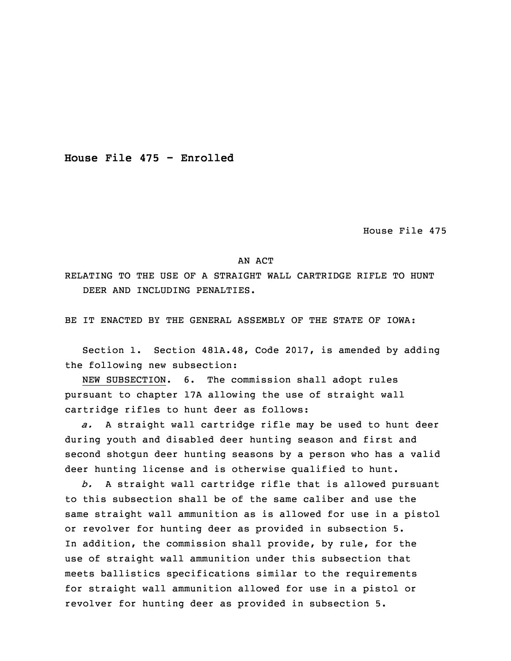**House File 475 - Enrolled**

House File 475

## AN ACT

RELATING TO THE USE OF A STRAIGHT WALL CARTRIDGE RIFLE TO HUNT DEER AND INCLUDING PENALTIES.

BE IT ENACTED BY THE GENERAL ASSEMBLY OF THE STATE OF IOWA:

 Section 1. Section 481A.48, Code 2017, is amended by adding the following new subsection:

NEW SUBSECTION. 6. The commission shall adopt rules pursuant to chapter 17A allowing the use of straight wall cartridge rifles to hunt deer as follows:

6 *a.* <sup>A</sup> straight wall cartridge rifle may be used to hunt deer during youth and disabled deer hunting season and first and second shotgun deer hunting seasons by a person who has a valid deer hunting license and is otherwise qualified to hunt.

10 *b.* <sup>A</sup> straight wall cartridge rifle that is allowed pursuant to this subsection shall be of the same caliber and use the same straight wall ammunition as is allowed for use in <sup>a</sup> pistol or revolver for hunting deer as provided in subsection 5. In addition, the commission shall provide, by rule, for the use of straight wall ammunition under this subsection that meets ballistics specifications similar to the requirements for straight wall ammunition allowed for use in a pistol or revolver for hunting deer as provided in subsection 5.